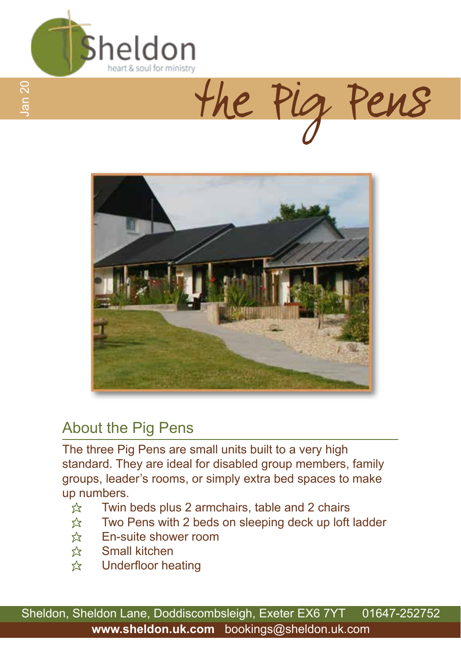

the Pig Pens



## About the Pig Pens

The three Pig Pens are small units built to a very high standard. They are ideal for disabled group members, family groups, leader's rooms, or simply extra bed spaces to make up numbers.

- $\hat{x}$  Twin beds plus 2 armchairs, table and 2 chairs
- $\hat{x}$  Two Pens with 2 beds on sleeping deck up loft ladder
- $\hat{x}$  En-suite shower room
- $\hat{x}$  Small kitchen
- $\hat{\mathcal{R}}$  Underfloor heating

Sheldon, Sheldon Lane, Doddiscombsleigh, Exeter EX6 7YT 01647-252752 **www.sheldon.uk.com** bookings@sheldon.uk.com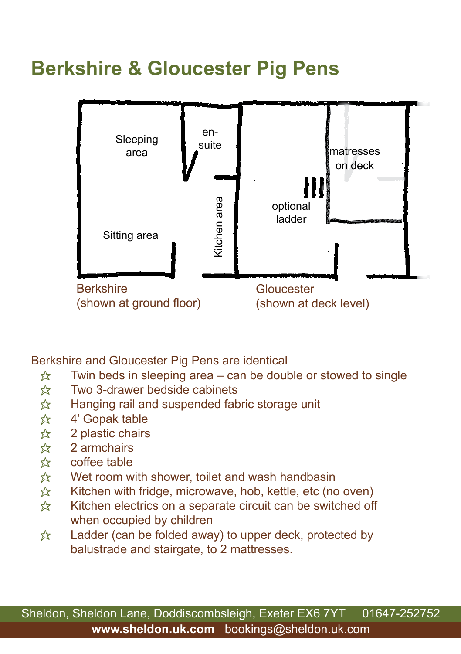## **Berkshire & Gloucester Pig Pens**



Berkshire and Gloucester Pig Pens are identical

- $\hat{\mathbb{X}}$  Twin beds in sleeping area can be double or stowed to single
- $\approx$  Two 3-drawer bedside cabinets
- $\hat{\chi}$  Hanging rail and suspended fabric storage unit  $\hat{\chi}$  4' Gopak table
- 4' Gopak table
- $\approx$  2 plastic chairs
- $\hat{\mathbf{x}}$  2 armchairs<br> $\hat{\mathbf{x}}$  coffee table
- coffee table
- $\hat{\chi}$  Wet room with shower, toilet and wash handbasin  $\hat{\chi}$  Kitchen with fridge, microwave, hob, kettle, etc (no
- $\hat{\mathbb{X}}$  Kitchen with fridge, microwave, hob, kettle, etc (no oven)<br> $\hat{\mathbb{X}}$  Kitchen electrics on a separate circuit can be switched off
- Kitchen electrics on a separate circuit can be switched off when occupied by children
- $\hat{x}$  Ladder (can be folded away) to upper deck, protected by balustrade and stairgate, to 2 mattresses.

Sheldon, Sheldon Lane, Doddiscombsleigh, Exeter EX6 7YT 01647-252752 **www.sheldon.uk.com** bookings@sheldon.uk.com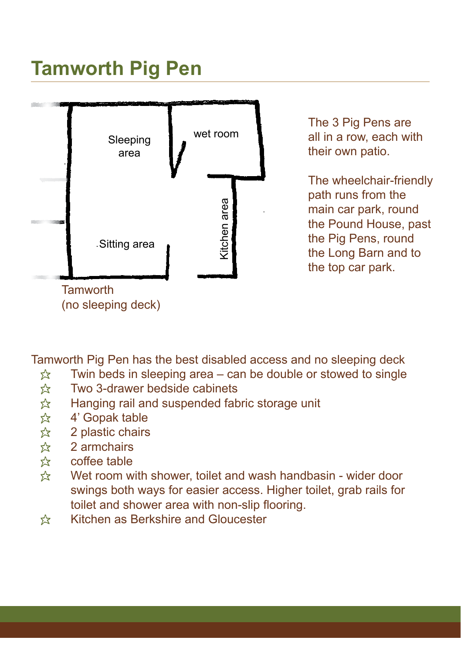## **Tamworth Pig Pen**



The 3 Pig Pens are all in a row, each with their own patio.

The wheelchair-friendly path runs from the main car park, round the Pound House, past the Pig Pens, round the Long Barn and to the top car park.

Tamworth Pig Pen has the best disabled access and no sleeping deck

- $\hat{x}$  Twin beds in sleeping area can be double or stowed to single
- $\hat{\mathbf{x}}$  Two 3-drawer bedside cabinets<br> $\hat{\mathbf{x}}$  Hanging rail and suspended fab
- $\uparrow$  Hanging rail and suspended fabric storage unit<br>  $\uparrow$  4' Gopak table
- 4' Gopak table
- $\hat{\mathbb{X}}$  2 plastic chairs
- $\frac{1}{2}$  2 armchairs
- $\hat{x}$  coffee table
- $\hat{\mathcal{R}}$  Wet room with shower, toilet and wash handbasin wider door swings both ways for easier access. Higher toilet, grab rails for toilet and shower area with non-slip flooring.
- \* Kitchen as Berkshire and Gloucester